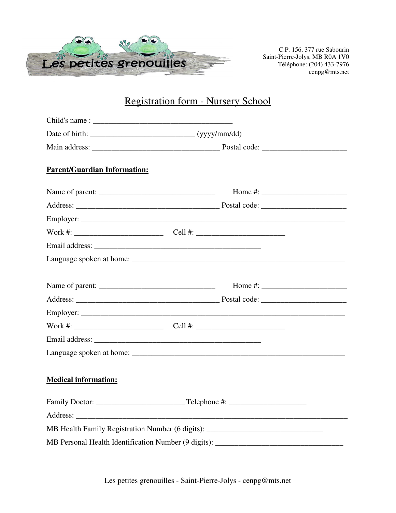

C.P. 156, 377 rue Sabourin Saint-Pierre-Jolys, MB R0A 1V0 Téléphone: (204) 433-7976 cenpg@mts.net

## Registration form - Nursery School

| <b>Parent/Guardian Information:</b>                                                                                                                                                                                           |  |                                                                                                                                                                                                                                                                                                       |  |
|-------------------------------------------------------------------------------------------------------------------------------------------------------------------------------------------------------------------------------|--|-------------------------------------------------------------------------------------------------------------------------------------------------------------------------------------------------------------------------------------------------------------------------------------------------------|--|
|                                                                                                                                                                                                                               |  | Home #: $\frac{1}{2}$ = $\frac{1}{2}$ = $\frac{1}{2}$ = $\frac{1}{2}$ = $\frac{1}{2}$ = $\frac{1}{2}$ = $\frac{1}{2}$ = $\frac{1}{2}$ = $\frac{1}{2}$ = $\frac{1}{2}$ = $\frac{1}{2}$ = $\frac{1}{2}$ = $\frac{1}{2}$ = $\frac{1}{2}$ = $\frac{1}{2}$ = $\frac{1}{2}$ = $\frac{1}{2}$ = $\frac{1}{2}$ |  |
|                                                                                                                                                                                                                               |  |                                                                                                                                                                                                                                                                                                       |  |
|                                                                                                                                                                                                                               |  |                                                                                                                                                                                                                                                                                                       |  |
|                                                                                                                                                                                                                               |  |                                                                                                                                                                                                                                                                                                       |  |
|                                                                                                                                                                                                                               |  |                                                                                                                                                                                                                                                                                                       |  |
|                                                                                                                                                                                                                               |  |                                                                                                                                                                                                                                                                                                       |  |
|                                                                                                                                                                                                                               |  | Home #: $\_$                                                                                                                                                                                                                                                                                          |  |
|                                                                                                                                                                                                                               |  |                                                                                                                                                                                                                                                                                                       |  |
|                                                                                                                                                                                                                               |  |                                                                                                                                                                                                                                                                                                       |  |
|                                                                                                                                                                                                                               |  |                                                                                                                                                                                                                                                                                                       |  |
| Email address: Note and the set of the set of the set of the set of the set of the set of the set of the set of the set of the set of the set of the set of the set of the set of the set of the set of the set of the set of |  |                                                                                                                                                                                                                                                                                                       |  |
|                                                                                                                                                                                                                               |  |                                                                                                                                                                                                                                                                                                       |  |
| <b>Medical information:</b>                                                                                                                                                                                                   |  |                                                                                                                                                                                                                                                                                                       |  |
|                                                                                                                                                                                                                               |  |                                                                                                                                                                                                                                                                                                       |  |
|                                                                                                                                                                                                                               |  |                                                                                                                                                                                                                                                                                                       |  |
| MB Health Family Registration Number (6 digits): _______________________________                                                                                                                                              |  |                                                                                                                                                                                                                                                                                                       |  |
|                                                                                                                                                                                                                               |  |                                                                                                                                                                                                                                                                                                       |  |

Les petites grenouilles - Saint-Pierre-Jolys - cenpg@mts.net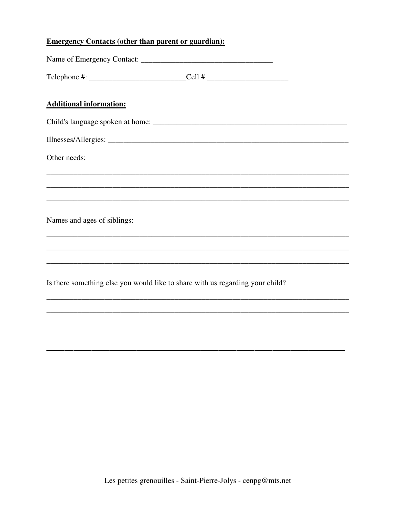### **Emergency Contacts (other than parent or guardian):**

| Telephone #: ________________________________Cell # ____________________________ |  |
|----------------------------------------------------------------------------------|--|
| <b>Additional information:</b>                                                   |  |
|                                                                                  |  |
|                                                                                  |  |
| Other needs:                                                                     |  |
|                                                                                  |  |
|                                                                                  |  |
| Names and ages of siblings:                                                      |  |
|                                                                                  |  |
|                                                                                  |  |
| Is there something else you would like to share with us regarding your child?    |  |
|                                                                                  |  |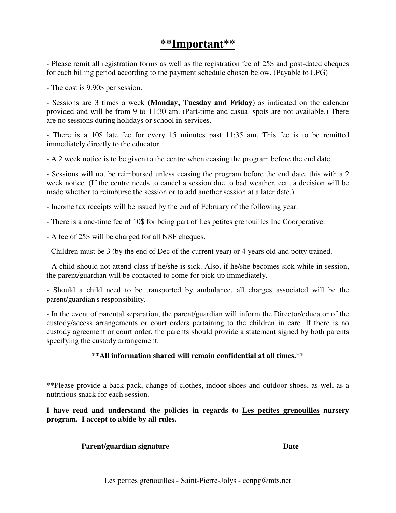## **\*\*Important\*\***

- Please remit all registration forms as well as the registration fee of 25\$ and post-dated cheques for each billing period according to the payment schedule chosen below. (Payable to LPG)

- The cost is 9.90\$ per session.

- Sessions are 3 times a week (**Monday, Tuesday and Friday**) as indicated on the calendar provided and will be from 9 to 11:30 am. (Part-time and casual spots are not available.) There are no sessions during holidays or school in-services.

- There is a 10\$ late fee for every 15 minutes past 11:35 am. This fee is to be remitted immediately directly to the educator.

- A 2 week notice is to be given to the centre when ceasing the program before the end date.

- Sessions will not be reimbursed unless ceasing the program before the end date, this with a 2 week notice. (If the centre needs to cancel a session due to bad weather, ect...a decision will be made whether to reimburse the session or to add another session at a later date.)

- Income tax receipts will be issued by the end of February of the following year.

- There is a one-time fee of 10\$ for being part of Les petites grenouilles Inc Coorperative.

- A fee of 25\$ will be charged for all NSF cheques.

- Children must be 3 (by the end of Dec of the current year) or 4 years old and potty trained.

- A child should not attend class if he/she is sick. Also, if he/she becomes sick while in session, the parent/guardian will be contacted to come for pick-up immediately.

- Should a child need to be transported by ambulance, all charges associated will be the parent/guardian's responsibility.

- In the event of parental separation, the parent/guardian will inform the Director/educator of the custody/access arrangements or court orders pertaining to the children in care. If there is no custody agreement or court order, the parents should provide a statement signed by both parents specifying the custody arrangement.

#### **\*\*All information shared will remain confidential at all times.\*\***

---------------------------------------------------------------------------------------------------------------------

\*\*Please provide a back pack, change of clothes, indoor shoes and outdoor shoes, as well as a nutritious snack for each session.

**I have read and understand the policies in regards to Les petites grenouilles nursery program. I accept to abide by all rules.** 

**\_\_\_\_\_\_\_\_\_\_\_\_\_\_\_\_\_\_\_\_\_\_\_\_\_\_\_\_\_\_\_\_\_\_\_\_\_\_\_\_\_ \_\_\_\_\_\_\_\_\_\_\_\_\_\_\_\_\_\_\_\_\_\_\_\_\_\_\_\_\_** 

**Parent/guardian signature Date** Date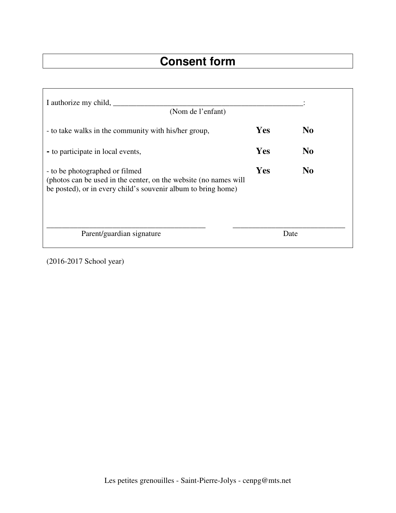# **Consent form**

| I authorize my child,<br>(Nom de l'enfant)                                                                                                                          |            |                |
|---------------------------------------------------------------------------------------------------------------------------------------------------------------------|------------|----------------|
| - to take walks in the community with his/her group,                                                                                                                | <b>Yes</b> | N <sub>0</sub> |
| - to participate in local events,                                                                                                                                   | Yes        | N <sub>0</sub> |
| - to be photographed or filmed<br>(photos can be used in the center, on the website (no names will<br>be posted), or in every child's souvenir album to bring home) |            | N <sub>0</sub> |
| Parent/guardian signature                                                                                                                                           |            | Date           |

(2016-2017 School year)